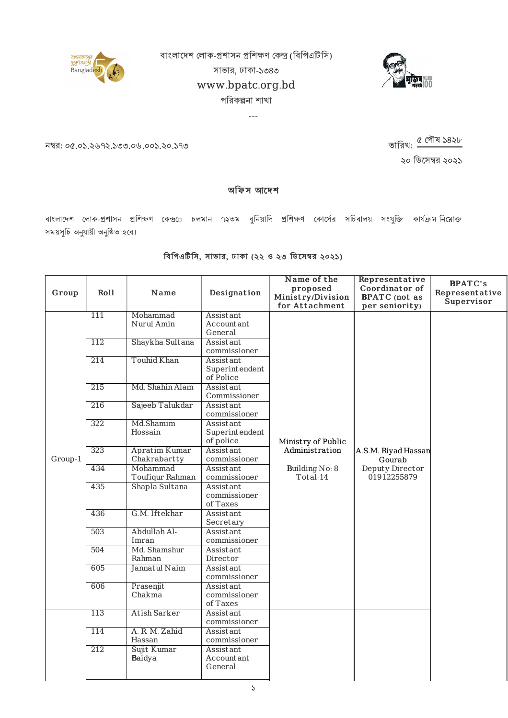বাংলাদেশ লোক-প্ৰশাসন প্ৰশিক্ষণ কেন্দ্ৰ (বিপিএটিসি)





সাভার, ঢাকা-১৩৪৩

## www.bpatc.org.bd

## পরিকল্পনা শাখা

---

নম্বর: ০৫.০১.২৬৭২.১৩৩.০৬.০০১.২০.১৭৩

২০ ডিসেম্বর ২০২১ তারিখ: <u>৫ পৌষ ১</u>৪২৮

## অফিস আদেশ

বাংলাদেশ লোক-প্রশাসন প্রশিক্ষণ কেন্দ্র**ে চলমান ৭২তম বুনিয়াদি প্রশিক্ষণ কোর্সের** সচিবালয় সংযুক্তি কার্যক্রম**নি**য়োক্ত সময়সূচি অনুযায়ী অনুষ্ঠিত হবে।

## বিপিএটিসি, সাভার, ঢাকা (২২ ও ২৩ ডিসেম্বর ২০২১)

| Group   | Roll | Name                          | Designation                              | Name of the<br>proposed<br>Ministry/Division<br>for Attachment | Representative<br>Coordinator of<br><b>BPATC</b> (not as<br>per seniority) | <b>BPATC's</b><br>Representative<br>Supervisor |
|---------|------|-------------------------------|------------------------------------------|----------------------------------------------------------------|----------------------------------------------------------------------------|------------------------------------------------|
|         | 111  | Mohammad<br>Nurul Amin        | Assistant<br>Accountant<br>General       |                                                                |                                                                            |                                                |
|         | 112  | Shaykha Sultana               | Assistant<br>commissioner                |                                                                |                                                                            |                                                |
|         | 214  | <b>Touhid Khan</b>            | Assistant<br>Superintendent<br>of Police |                                                                |                                                                            |                                                |
|         | 215  | Md. Shahin Alam               | Assistant<br>Commissioner                |                                                                |                                                                            |                                                |
|         | 216  | Sajeeb Talukdar               | Assistant<br>commissioner                |                                                                |                                                                            |                                                |
|         | 322  | Md.Shamim<br>Hossain          | Assistant<br>Superintendent<br>of police | Ministry of Public                                             |                                                                            |                                                |
| Group-1 | 323  | Apratim Kumar<br>Chakrabartty | Assistant<br>commissioner                | Administration                                                 | A.S.M. Riyad Hassan<br>Gourab                                              |                                                |
|         | 434  | Mohammad<br>Toufiqur Rahman   | Assistant<br>commissioner                | Building No: 8<br>Total-14                                     | Deputy Director<br>01912255879                                             |                                                |
|         | 435  | Shapla Sultana                | Assistant<br>commissioner<br>of Taxes    |                                                                |                                                                            |                                                |
|         | 436  | G.M. Iftekhar                 | Assistant<br>Secretary                   |                                                                |                                                                            |                                                |
|         | 503  | Abdullah Al-<br>Imran         | Assistant<br>commissioner                |                                                                |                                                                            |                                                |
|         | 504  | Md. Shamshur<br>Rahman        | Assistant<br>Director                    |                                                                |                                                                            |                                                |
|         | 605  | Jannatul Naim                 | Assistant<br>commissioner                |                                                                |                                                                            |                                                |
|         | 606  | Prasenjit<br>Chakma           | Assistant<br>commissioner<br>of Taxes    |                                                                |                                                                            |                                                |
|         | 113  | <b>Atish Sarker</b>           | Assistant<br>commissioner                |                                                                |                                                                            |                                                |
|         | 114  | A. R. M. Zahid<br>Hassan      | Assistant<br>commissioner                |                                                                |                                                                            |                                                |
|         | 212  | Sujit Kumar<br>Baidya         | Assistant<br>Accountant<br>General       |                                                                |                                                                            |                                                |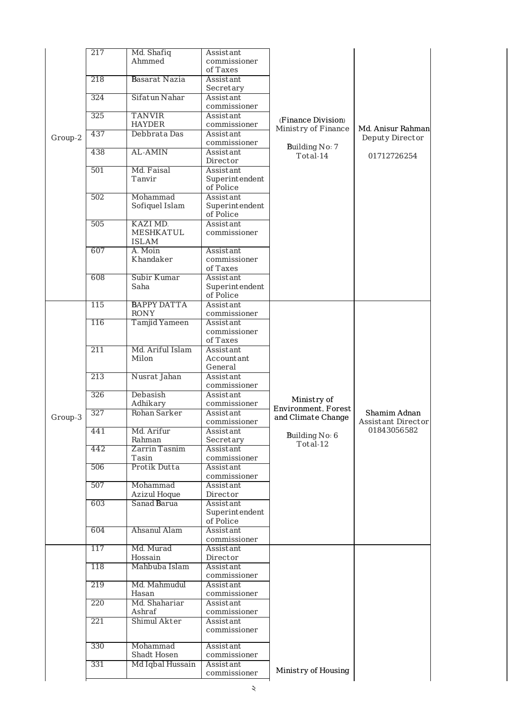|         | 217 | Md. Shafiq           | Assistant                 |                     |                    |
|---------|-----|----------------------|---------------------------|---------------------|--------------------|
|         |     | Ahmmed               | commissioner              |                     |                    |
|         |     |                      | of Taxes                  |                     |                    |
|         | 218 | <b>Basarat Nazia</b> | Assistant                 |                     |                    |
|         |     |                      | Secretary                 |                     |                    |
|         | 324 | Sifatun Nahar        | Assistant                 |                     |                    |
|         |     |                      | commissioner              |                     |                    |
|         | 325 | <b>TANVIR</b>        | Assistant                 |                     |                    |
|         |     | <b>HAYDER</b>        |                           | (Finance Division)  |                    |
|         |     |                      | commissioner              | Ministry of Finance | Md. Anisur Rahman  |
| Group-2 | 437 | Debbrata Das         | Assistant                 |                     | Deputy Director    |
|         |     |                      | commissioner              | Building No: 7      |                    |
|         | 438 | <b>AL-AMIN</b>       | Assistant                 | Total-14            | 01712726254        |
|         |     |                      | Director                  |                     |                    |
|         | 501 | Md. Faisal           | Assistant                 |                     |                    |
|         |     | Tanvir               | Superintendent            |                     |                    |
|         |     |                      | of Police                 |                     |                    |
|         | 502 | Mohammad             | Assistant                 |                     |                    |
|         |     |                      |                           |                     |                    |
|         |     | Sofiquel Islam       | Superintendent            |                     |                    |
|         |     |                      | of Police                 |                     |                    |
|         | 505 | KAZI MD.             | Assistant                 |                     |                    |
|         |     | <b>MESHKATUL</b>     | commissioner              |                     |                    |
|         |     | <b>ISLAM</b>         |                           |                     |                    |
|         | 607 | A. Moin              | Assistant                 |                     |                    |
|         |     | Khandaker            | commissioner              |                     |                    |
|         |     |                      | of Taxes                  |                     |                    |
|         |     |                      |                           |                     |                    |
|         | 608 | Subir Kumar          | Assistant                 |                     |                    |
|         |     | Saha                 | Superintendent            |                     |                    |
|         |     |                      | of Police                 |                     |                    |
|         | 115 | <b>BAPPY DATTA</b>   | Assistant                 |                     |                    |
|         |     | <b>RONY</b>          | commissioner              |                     |                    |
|         | 116 | Tamjid Yameen        | Assistant                 |                     |                    |
|         |     |                      | commissioner              |                     |                    |
|         |     |                      | of Taxes                  |                     |                    |
|         |     |                      |                           |                     |                    |
|         | 211 | Md. Ariful Islam     | Assistant                 |                     |                    |
|         |     | Milon                | Accountant                |                     |                    |
|         |     |                      | General                   |                     |                    |
|         | 213 | Nusrat Jahan         | Assistant                 |                     |                    |
|         |     |                      | commissioner              |                     |                    |
|         | 326 | Debasish             | Assistant                 |                     |                    |
|         |     |                      |                           |                     |                    |
|         |     |                      |                           | Ministry of         |                    |
|         |     | Adhikary             | commissioner              | Environment, Forest |                    |
| Group-3 | 327 | Rohan Sarker         | Assistant                 | and Climate Change  | Shamim Adnan       |
|         |     |                      | commissioner              |                     | Assistant Director |
|         | 441 | Md. Arifur           | Assistant                 |                     | 01843056582        |
|         |     | Rahman               | Secretary                 | Building No: 6      |                    |
|         | 442 | Zarrin Tasnim        | Assistant                 | Total-12            |                    |
|         |     | Tasin                | commissioner              |                     |                    |
|         |     |                      |                           |                     |                    |
|         | 506 | Protik Dutta         | Assistant                 |                     |                    |
|         |     |                      | commissioner              |                     |                    |
|         | 507 | Mohammad             | Assistant                 |                     |                    |
|         |     | Azizul Hoque         | Director                  |                     |                    |
|         | 603 | Sanad Barua          | Assistant                 |                     |                    |
|         |     |                      | Superintendent            |                     |                    |
|         |     |                      | of Police                 |                     |                    |
|         | 604 | Ahsanul Alam         | Assistant                 |                     |                    |
|         |     |                      | commissioner              |                     |                    |
|         |     |                      |                           |                     |                    |
|         | 117 | Md. Murad            | Assistant                 |                     |                    |
|         |     | Hossain              | Director                  |                     |                    |
|         | 118 | Mahbuba Islam        | Assistant                 |                     |                    |
|         |     |                      | commissioner              |                     |                    |
|         | 219 | Md. Mahmudul         | Assistant                 |                     |                    |
|         |     | Hasan                | commissioner              |                     |                    |
|         | 220 | Md. Shahariar        | Assistant                 |                     |                    |
|         |     | Ashraf               | commissioner              |                     |                    |
|         |     |                      |                           |                     |                    |
|         | 221 | Shimul Akter         | Assistant                 |                     |                    |
|         |     |                      | commissioner              |                     |                    |
|         |     |                      |                           |                     |                    |
|         | 330 | Mohammad             | Assistant                 |                     |                    |
|         |     | Shadt Hosen          | commissioner              |                     |                    |
|         | 331 | Md Iqbal Hussain     | Assistant<br>commissioner | Ministry of Housing |                    |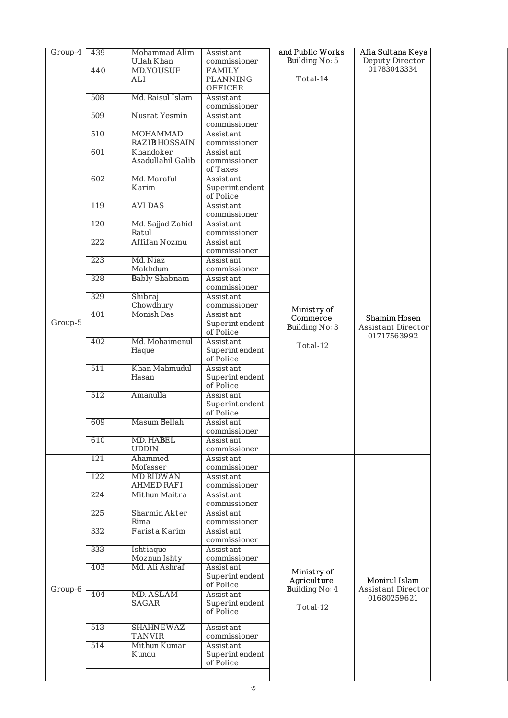| Group-4 | 439 | Mohammad Alim                      | Assistant                                | and Public Works           | Afia Sultana Keya                          |
|---------|-----|------------------------------------|------------------------------------------|----------------------------|--------------------------------------------|
|         |     | Ullah Khan                         | commissioner                             | Building No: 5             | Deputy Director                            |
|         | 440 | <b>MD.YOUSUF</b><br>ALI            | <b>FAMILY</b><br>PLANNING                | Total-14                   | 01783043334                                |
|         | 508 | Md. Raisul Islam                   | <b>OFFICER</b><br>Assistant              |                            |                                            |
|         | 509 | Nusrat Yesmin                      | commissioner<br>Assistant                |                            |                                            |
|         | 510 | <b>MOHAMMAD</b>                    | commissioner<br>Assistant                |                            |                                            |
|         |     | <b>RAZIB HOSSAIN</b>               | commissioner                             |                            |                                            |
|         | 601 | Khandoker<br>Asadullahil Galib     | Assistant<br>commissioner<br>of Taxes    |                            |                                            |
|         | 602 | Md. Maraful<br>Karim               | Assistant<br>Superintendent<br>of Police |                            |                                            |
|         | 119 | <b>AVI DAS</b>                     | Assistant                                |                            |                                            |
|         | 120 | Md. Sajjad Zahid                   | commissioner<br>Assistant                |                            |                                            |
|         | 222 | Ratul<br><b>Affifan Nozmu</b>      | commissioner<br>Assistant                |                            |                                            |
|         |     |                                    | commissioner                             |                            |                                            |
|         | 223 | Md. Niaz<br>Makhdum                | Assistant<br>commissioner                |                            |                                            |
|         | 328 | <b>Bably Shabnam</b>               | Assistant                                |                            |                                            |
|         | 329 | Shibraj                            | commissioner<br>Assistant                |                            |                                            |
|         |     | Chowdhury                          | commissioner                             | Ministry of                |                                            |
| Group-5 | 401 | <b>Monish Das</b>                  | Assistant<br>Superintendent              | Commerce                   | Shamim Hosen                               |
|         |     |                                    | of Police                                | Building No: 3             | Assistant Director<br>01717563992          |
|         | 402 | Md. Mohaimenul                     | Assistant                                | Total-12                   |                                            |
|         |     | Haque                              | Superintendent<br>of Police              |                            |                                            |
|         | 511 | Khan Mahmudul                      | Assistant                                |                            |                                            |
|         |     | Hasan                              | Superintendent<br>of Police              |                            |                                            |
|         | 512 | Amanulla                           | Assistant                                |                            |                                            |
|         |     |                                    | Superintendent<br>of Police              |                            |                                            |
|         | 609 | Masum Bellah                       | Assistant                                |                            |                                            |
|         | 610 | MD. HABEL                          | commissioner<br>Assistant                |                            |                                            |
|         |     | <b>UDDIN</b>                       | commissioner                             |                            |                                            |
|         | 121 | Ahammed<br>Mofasser                | Assistant<br>commissioner                |                            |                                            |
|         | 122 | <b>MD RIDWAN</b>                   | Assistant                                |                            |                                            |
|         | 224 | <b>AHMED RAFI</b><br>Mithun Maitra | commissioner<br>Assistant                |                            |                                            |
|         |     |                                    | commissioner                             |                            |                                            |
|         | 225 | Sharmin Akter<br>Rima              | Assistant<br>commissioner                |                            |                                            |
|         | 332 | Farista Karim                      | Assistant                                |                            |                                            |
|         | 333 | Ishtiaque                          | commissioner<br>Assistant                |                            |                                            |
|         |     | Moznun Ishty                       | commissioner                             |                            |                                            |
|         | 403 | Md. Ali Ashraf                     | Assistant<br>Superintendent<br>of Police | Ministry of<br>Agriculture | Monirul Islam<br><b>Assistant Director</b> |
| Group-6 | 404 | MD. ASLAM<br><b>SAGAR</b>          | Assistant<br>Superintendent<br>of Police | Building No: 4<br>Total-12 | 01680259621                                |
|         | 513 | <b>SHAHNEWAZ</b><br><b>TANVIR</b>  | Assistant<br>commissioner                |                            |                                            |
|         | 514 | Mithun Kumar                       | Assistant                                |                            |                                            |
|         |     | Kundu                              | Superintendent<br>of Police              |                            |                                            |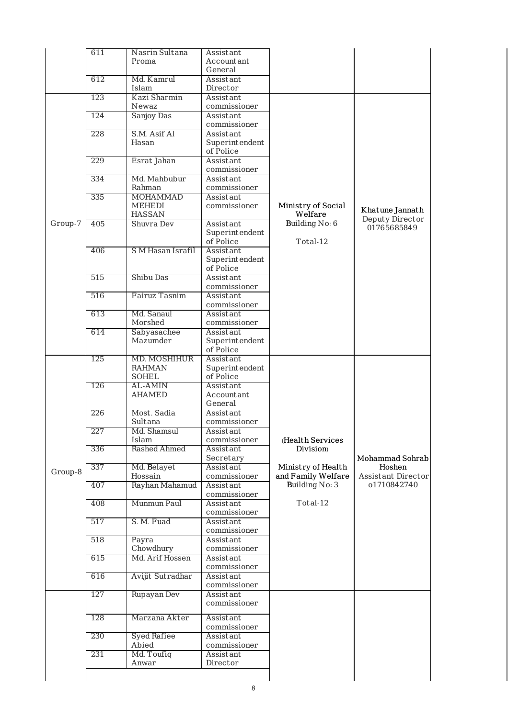|         | 611 | Nasrin Sultana                                                                        | Assistant                   |                    |                           |
|---------|-----|---------------------------------------------------------------------------------------|-----------------------------|--------------------|---------------------------|
|         |     | Proma                                                                                 | Accountant                  |                    |                           |
|         |     |                                                                                       | General                     |                    |                           |
|         | 612 | Md. Kamrul                                                                            | Assistant                   |                    |                           |
|         |     | Islam                                                                                 | Director                    |                    |                           |
|         | 123 | Kazi Sharmin                                                                          | Assistant                   |                    |                           |
|         |     | Newaz                                                                                 | commissioner                |                    |                           |
|         | 124 | Sanjoy Das                                                                            | Assistant                   |                    |                           |
|         | 228 | S.M. Asif Al                                                                          | commissioner<br>Assistant   |                    |                           |
|         |     | Hasan                                                                                 | Superintendent              |                    |                           |
|         |     |                                                                                       | of Police                   |                    |                           |
|         | 229 | Esrat Jahan                                                                           | Assistant                   |                    |                           |
|         |     |                                                                                       | commissioner                |                    |                           |
|         | 334 | Md. Mahbubur                                                                          | Assistant                   |                    |                           |
|         |     | Rahman                                                                                | commissioner                |                    |                           |
|         | 335 | <b>MOHAMMAD</b>                                                                       | Assistant                   |                    |                           |
|         |     | MEHEDI                                                                                | commissioner                | Ministry of Social | Khatune Jannath           |
|         |     | <b>HASSAN</b>                                                                         |                             | Welfare            | Deputy Director           |
| Group-7 | 405 | Shuvra Dev                                                                            | Assistant                   | Building No: 6     | 01765685849               |
|         |     |                                                                                       | Superintendent              |                    |                           |
|         |     |                                                                                       | of Police                   | Total-12           |                           |
|         | 406 | S M Hasan Israfil                                                                     | Assistant                   |                    |                           |
|         |     |                                                                                       | Superintendent<br>of Police |                    |                           |
|         | 515 | Shibu Das                                                                             | Assistant                   |                    |                           |
|         |     |                                                                                       |                             |                    |                           |
|         | 516 | commissioner<br>Fairuz Tasnim<br>Assistant<br>commissioner<br>Md. Sanaul<br>Assistant |                             |                    |                           |
|         |     |                                                                                       |                             |                    |                           |
|         | 613 |                                                                                       |                             |                    |                           |
|         |     | Morshed                                                                               | commissioner                |                    |                           |
|         | 614 | Sabyasachee                                                                           | Assistant                   |                    |                           |
|         |     | Mazumder                                                                              | Superintendent              |                    |                           |
|         |     |                                                                                       | of Police                   |                    |                           |
|         | 125 | MD. MOSHIHUR                                                                          | Assistant                   |                    |                           |
|         |     | <b>RAHMAN</b>                                                                         | Superintendent              |                    |                           |
|         |     | <b>SOHEL</b>                                                                          | of Police                   |                    |                           |
|         | 126 | AL-AMIN                                                                               | Assistant                   |                    |                           |
|         |     | <b>AHAMED</b>                                                                         | Accountant                  |                    |                           |
|         | 226 | Most. Sadia                                                                           | General<br>Assistant        |                    |                           |
|         |     | Sultana                                                                               | commissioner                |                    |                           |
|         | 227 | Md. Shamsul                                                                           | Assistant                   |                    |                           |
|         |     | Islam                                                                                 | commissioner                | (Health Services   |                           |
|         | 336 | <b>Rashed Ahmed</b>                                                                   | Assistant                   | Division)          |                           |
|         |     |                                                                                       | Secretary                   |                    | Mohammad Sohrab           |
|         | 337 | Md. Belayet                                                                           | Assistant                   | Ministry of Health | Hoshen                    |
| Group-8 |     | Hossain                                                                               | commissioner                | and Family Welfare | <b>Assistant Director</b> |
|         | 407 | Rayhan Mahamud                                                                        | Assistant                   | Building No: 3     | o1710842740               |
|         |     |                                                                                       | commissioner                |                    |                           |
|         | 408 | Munmun Paul                                                                           | Assistant                   | Total-12           |                           |
|         |     |                                                                                       | commissioner                |                    |                           |
|         | 517 | S. M. Fuad                                                                            | Assistant                   |                    |                           |
|         | 518 |                                                                                       | commissioner<br>Assistant   |                    |                           |
|         |     | Payra<br>Chowdhury                                                                    |                             |                    |                           |
|         | 615 | Md. Arif Hossen                                                                       | commissioner<br>Assistant   |                    |                           |
|         |     |                                                                                       | commissioner                |                    |                           |
|         | 616 | Avijit Sutradhar                                                                      | Assistant                   |                    |                           |
|         |     |                                                                                       | commissioner                |                    |                           |
|         | 127 | Rupayan Dev                                                                           | Assistant                   |                    |                           |
|         |     |                                                                                       | commissioner                |                    |                           |
|         |     |                                                                                       |                             |                    |                           |
|         | 128 | Marzana Akter                                                                         | Assistant                   |                    |                           |
|         | 230 |                                                                                       | commissioner<br>Assistant   |                    |                           |
|         |     | <b>Syed Rafiee</b><br>Abied                                                           | commissioner                |                    |                           |
|         | 231 | Md. Toufiq                                                                            | Assistant                   |                    |                           |
|         |     | Anwar                                                                                 | Director                    |                    |                           |
|         |     |                                                                                       |                             |                    |                           |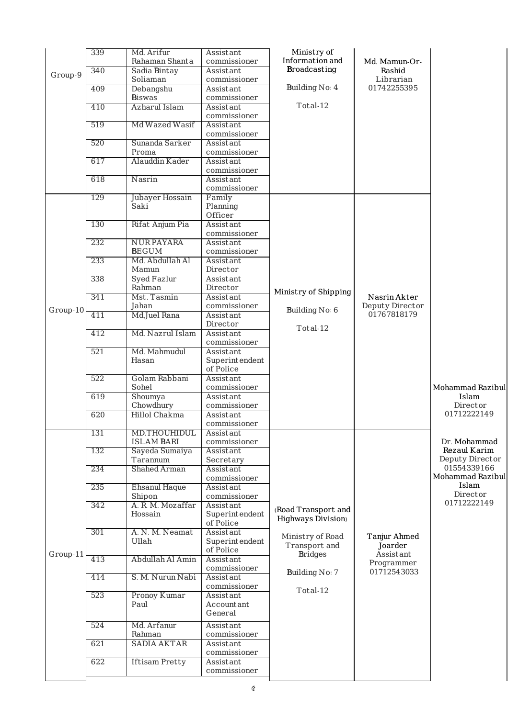|          | 339 | Md. Arifur<br>Rahaman Shanta    | Assistant<br>commissioner | Ministry of<br>Information and |                         |                                 |
|----------|-----|---------------------------------|---------------------------|--------------------------------|-------------------------|---------------------------------|
| Group-9  | 340 | Sadia Bintay                    | Assistant                 | <b>Broadcasting</b>            | Md. Mamun-Or-<br>Rashid |                                 |
|          |     | Soliaman                        | commissioner              |                                | Librarian               |                                 |
|          | 409 | Debangshu                       | Assistant                 | Building No: 4                 | 01742255395             |                                 |
|          | 410 | <b>Biswas</b><br>Azharul Islam  | commissioner<br>Assistant | Total-12                       |                         |                                 |
|          |     |                                 | commissioner              |                                |                         |                                 |
|          | 519 | Md Wazed Wasif                  | Assistant<br>commissioner |                                |                         |                                 |
|          | 520 | Sunanda Sarker                  | Assistant                 |                                |                         |                                 |
|          |     | Proma                           | commissioner              |                                |                         |                                 |
|          | 617 | Alauddin Kader                  | Assistant<br>commissioner |                                |                         |                                 |
|          | 618 | Nasrin                          | Assistant                 |                                |                         |                                 |
|          |     |                                 | commissioner              |                                |                         |                                 |
|          | 129 | Jubayer Hossain<br>Saki         | Family<br>Planning        |                                |                         |                                 |
|          |     |                                 | Officer                   |                                |                         |                                 |
|          | 130 | Rifat Anjum Pia                 | Assistant                 |                                |                         |                                 |
|          |     |                                 | commissioner              |                                |                         |                                 |
|          | 232 | <b>NURPAYARA</b>                | Assistant                 |                                |                         |                                 |
|          |     | <b>BEGUM</b><br>Md. Abdullah Al | commissioner              |                                |                         |                                 |
|          | 233 | Mamun                           | Assistant<br>Director     |                                |                         |                                 |
|          | 338 | Syed Fazlur                     | Assistant                 |                                |                         |                                 |
|          |     | Rahman                          | Director                  |                                |                         |                                 |
|          | 341 | Mst. Tasmin                     | Assistant                 | Ministry of Shipping           | Nasrin Akter            |                                 |
| Group-10 |     | Jahan                           | commissioner              | Building No: 6                 | Deputy Director         |                                 |
|          | 411 | Md.Juel Rana                    | Assistant<br>Director     |                                | 01767818179             |                                 |
|          | 412 | Md. Nazrul Islam                | Assistant                 | Total-12                       |                         |                                 |
|          |     |                                 | commissioner              |                                |                         |                                 |
|          | 521 | Md. Mahmudul                    | Assistant                 |                                |                         |                                 |
|          |     | Hasan                           | Superintendent            |                                |                         |                                 |
|          | 522 | Golam Rabbani                   | of Police<br>Assistant    |                                |                         |                                 |
|          |     | Sohel                           | commissioner              |                                |                         | Mohammad Razibul                |
|          | 619 | Shoumya                         | Assistant                 |                                |                         | Islam                           |
|          |     | Chowdhury                       | commissioner              |                                |                         | Director                        |
|          | 620 | Hillol Chakma                   | Assistant                 |                                |                         | 01712222149                     |
|          | 131 | MD.THOUHIDUL                    | commissioner<br>Assistant |                                |                         |                                 |
|          |     | <b>ISLAM BARI</b>               | commissioner              |                                |                         | Dr. Mohammad                    |
|          | 132 | Sayeda Sumaiya                  | Assistant                 |                                |                         | Rezaul Karim                    |
|          |     | Tarannum                        | Secretary                 |                                |                         | Deputy Director                 |
|          | 234 | Shahed Arman                    | Assistant                 |                                |                         | 01554339166<br>Mohammad Razibul |
|          | 235 | <b>Ehsanul Haque</b>            | commissioner<br>Assistant |                                |                         | Islam                           |
|          |     | Shipon                          | commissioner              |                                |                         | Director                        |
|          | 342 | A. R. M. Mozaffar               | Assistant                 | (Road Transport and            |                         | 01712222149                     |
|          |     | Hossain                         | Superintendent            | <b>Highways Division</b> )     |                         |                                 |
|          | 301 | A. N. M. Neamat                 | of Police<br>Assistant    |                                |                         |                                 |
|          |     | Ullah                           | Superintendent            | Ministry of Road               | Tanjur Ahmed            |                                 |
|          |     |                                 | of Police                 | Transport and                  | Joarder                 |                                 |
| Group-11 | 413 | Abdullah Al Amin                | Assistant                 | <b>Bridges</b>                 | Assistant<br>Programmer |                                 |
|          |     |                                 | commissioner              | Building No: 7                 | 01712543033             |                                 |
|          | 414 | S. M. Nurun Nabi                | Assistant<br>commissioner |                                |                         |                                 |
|          | 523 | Pronoy Kumar                    | Assistant                 | Total-12                       |                         |                                 |
|          |     | Paul                            | Accountant                |                                |                         |                                 |
|          |     |                                 | General                   |                                |                         |                                 |
|          | 524 | Md. Arfanur                     | Assistant                 |                                |                         |                                 |
|          |     |                                 |                           |                                |                         |                                 |
|          |     | Rahman                          | commissioner              |                                |                         |                                 |
|          | 621 | <b>SADIA AKTAR</b>              | Assistant                 |                                |                         |                                 |
|          | 622 | <b>Iftisam Pretty</b>           | commissioner<br>Assistant |                                |                         |                                 |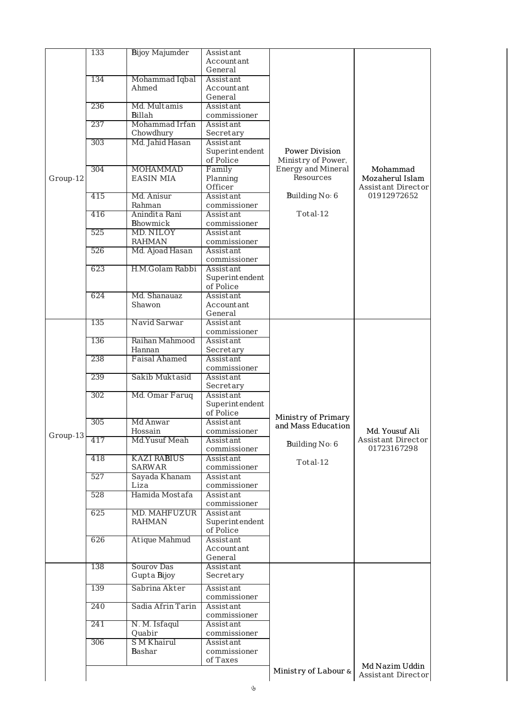|          | 133 | <b>Bijoy Majumder</b>                                   | Assistant                   |                           |                                   |
|----------|-----|---------------------------------------------------------|-----------------------------|---------------------------|-----------------------------------|
|          |     |                                                         | Accountant                  |                           |                                   |
|          |     |                                                         | General                     |                           |                                   |
|          | 134 | Mohammad Iqbal                                          | Assistant                   |                           |                                   |
|          |     | Ahmed                                                   | Accountant                  |                           |                                   |
|          |     | Md. Multamis                                            | General                     |                           |                                   |
|          | 236 | <b>Billah</b>                                           | Assistant<br>commissioner   |                           |                                   |
|          | 237 | Mohammad Irfan                                          | Assistant                   |                           |                                   |
|          |     | Chowdhury                                               | Secretary                   |                           |                                   |
|          | 303 | Md. Jahid Hasan                                         | Assistant                   |                           |                                   |
|          |     |                                                         | Superintendent              | <b>Power Division</b>     |                                   |
|          |     |                                                         | of Police                   | Ministry of Power,        |                                   |
|          | 304 | <b>MOHAMMAD</b>                                         | Family                      | <b>Energy and Mineral</b> | Mohammad                          |
| Group-12 |     | <b>EASIN MIA</b>                                        | Planning                    | Resources                 | Mozaherul Islam                   |
|          |     |                                                         | Officer                     |                           | <b>Assistant Director</b>         |
|          | 415 | Md. Anisur                                              | Assistant                   | Building No: 6            | 01912972652                       |
|          |     | Rahman                                                  | commissioner                |                           |                                   |
|          | 416 | Anindita Rani                                           | Assistant                   | Total-12                  |                                   |
|          |     | Bhowmick                                                | commissioner                |                           |                                   |
|          | 525 | MD. NILOY<br>Assistant<br><b>RAHMAN</b><br>commissioner |                             |                           |                                   |
|          |     |                                                         |                             |                           |                                   |
|          | 526 | Md. Ajoad Hasan                                         | Assistant                   |                           |                                   |
|          |     |                                                         | commissioner                |                           |                                   |
|          | 623 | H.M.Golam Rabbi                                         | Assistant                   |                           |                                   |
|          |     |                                                         | Superintendent<br>of Police |                           |                                   |
|          |     | Md. Shanauaz                                            |                             |                           |                                   |
|          | 624 | Shawon                                                  | Assistant<br>Accountant     |                           |                                   |
|          |     |                                                         | General                     |                           |                                   |
|          | 135 | Navid Sarwar                                            | Assistant                   |                           |                                   |
|          |     |                                                         | commissioner                |                           |                                   |
|          | 136 | Raihan Mahmood                                          | Assistant                   |                           |                                   |
|          |     | Hannan                                                  | Secretary                   |                           |                                   |
|          | 238 | <b>Faisal Ahamed</b>                                    | Assistant                   |                           |                                   |
|          |     |                                                         | commissioner                |                           |                                   |
|          | 239 | Sakib Muktasid                                          | Assistant                   |                           |                                   |
|          |     |                                                         | Secretary                   |                           |                                   |
|          | 302 | Md. Omar Faruq                                          | Assistant                   |                           |                                   |
|          |     |                                                         | Superintendent              |                           |                                   |
|          |     |                                                         | of Police                   | Ministry of Primary       |                                   |
|          | 305 | Md Anwar                                                | Assistant                   | and Mass Education        |                                   |
| Group-13 |     | Hossain                                                 | commissioner                |                           | Md. Yousuf Ali                    |
|          | 417 | Md.Yusuf Meah                                           | Assistant                   | Building No: 6            | Assistant Director<br>01723167298 |
|          |     | <b>KAZI RABIUS</b>                                      | commissioner                |                           |                                   |
|          | 418 | <b>SARWAR</b>                                           | Assistant<br>commissioner   | Total-12                  |                                   |
|          | 527 | Sayada Khanam                                           | Assistant                   |                           |                                   |
|          |     | Liza                                                    | commissioner                |                           |                                   |
|          | 528 | Hamida Mostafa                                          | Assistant                   |                           |                                   |
|          |     |                                                         | commissioner                |                           |                                   |
|          | 625 | MD. MAHFUZUR                                            | Assistant                   |                           |                                   |
|          |     | <b>RAHMAN</b>                                           | Superintendent              |                           |                                   |
|          |     |                                                         | of Police                   |                           |                                   |
|          | 626 | Atique Mahmud                                           | Assistant                   |                           |                                   |
|          |     |                                                         | Accountant                  |                           |                                   |
|          |     |                                                         | General                     |                           |                                   |
|          | 138 | Sourov Das                                              | Assistant                   |                           |                                   |
|          |     | Gupta Bijoy                                             | Secretary                   |                           |                                   |
|          | 139 | Sabrina Akter                                           | Assistant                   |                           |                                   |
|          |     |                                                         | commissioner                |                           |                                   |
|          | 240 | Sadia Afrin Tarin                                       | Assistant                   |                           |                                   |
|          |     |                                                         | commissioner                |                           |                                   |
|          | 241 | N. M. Isfaqul                                           | Assistant                   |                           |                                   |
|          |     | Quabir                                                  | commissioner                |                           |                                   |
|          | 306 | <b>S M Khairul</b>                                      | Assistant                   |                           |                                   |
|          |     | Bashar                                                  | commissioner                |                           |                                   |
|          |     |                                                         | of Taxes                    |                           | Md Nazim Uddin                    |
|          |     |                                                         |                             | Ministry of Labour &      | Assistant Director                |
|          |     |                                                         |                             |                           |                                   |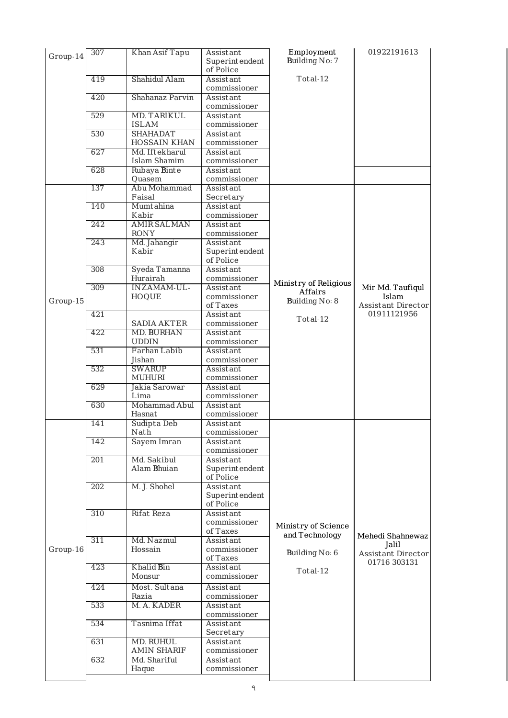| Group-14 | 307        | Khan Asif Tapu                         | Assistant<br>Superintendent<br>of Police | Employment<br>Building No: 7          | 01922191613                                            |
|----------|------------|----------------------------------------|------------------------------------------|---------------------------------------|--------------------------------------------------------|
|          | 419        | Shahidul Alam                          | Assistant<br>commissioner                | Total-12                              |                                                        |
|          | 420        | Shahanaz Parvin                        | Assistant<br>commissioner                |                                       |                                                        |
|          | 529        | <b>MD. TARIKUL</b><br><b>ISLAM</b>     | Assistant<br>commissioner                |                                       |                                                        |
|          | 530        | <b>SHAHADAT</b><br>HOSSAIN KHAN        | Assistant<br>commissioner                |                                       |                                                        |
|          | 627        | Md. Iftekharul<br><b>Islam Shamim</b>  | Assistant<br>commissioner                |                                       |                                                        |
|          | 628<br>137 | Rubaya Binte<br>Quasem<br>Abu Mohammad | Assistant<br>commissioner<br>Assistant   |                                       |                                                        |
|          | 140        | Faisal<br>Mumtahina                    | Secretary<br>Assistant                   |                                       |                                                        |
|          | 242        | Kabir<br><b>AMIR SALMAN</b>            | commissioner                             |                                       |                                                        |
|          | 243        | <b>RONY</b>                            | Assistant<br>commissioner                |                                       |                                                        |
|          |            | Md. Jahangir<br>Kabir                  | Assistant<br>Superintendent<br>of Police |                                       |                                                        |
|          | 308        | Syeda Tamanna<br>Hurairah              | Assistant<br>commissioner                | Ministry of Religious                 |                                                        |
| Group-15 | 309        | INZAMAM-UL-<br><b>HOQUE</b>            | Assistant<br>commissioner<br>of Taxes    | Affairs<br>Building No: 8             | Mir Md. Taufiqul<br>Islam<br><b>Assistant Director</b> |
|          | 421        | <b>SADIA AKTER</b>                     | Assistant<br>commissioner                | Total-12                              | 01911121956                                            |
|          | 422        | <b>MD. BURHAN</b><br><b>UDDIN</b>      | Assistant<br>commissioner                |                                       |                                                        |
|          | 531        | Farhan Labib<br>Jishan                 | Assistant<br>commissioner                |                                       |                                                        |
|          | 532        | <b>SWARUP</b><br><b>MUHURI</b>         | Assistant<br>commissioner                |                                       |                                                        |
|          | 629        | Jakia Sarowar<br>Lima                  | Assistant<br>commissioner                |                                       |                                                        |
|          | 630        | Mohammad Abul<br>Hasnat                | Assistant<br>commissioner                |                                       |                                                        |
|          | 141        | Sudipta Deb<br>Nath                    | Assistant<br>commissioner                |                                       |                                                        |
|          | 142        | Sayem Imran                            | Assistant<br>commissioner                |                                       |                                                        |
|          | 201        | Md. Sakibul<br>Alam Bhuian             | Assistant<br>Superintendent<br>of Police |                                       |                                                        |
|          | 202        | M. J. Shohel                           | Assistant<br>Superintendent<br>of Police |                                       |                                                        |
|          | 310        | Rifat Reza                             | Assistant<br>commissioner<br>of Taxes    | Ministry of Science<br>and Technology |                                                        |
| Group-16 | 311        | Md. Nazmul<br>Hossain                  | Assistant<br>commissioner<br>of Taxes    | Building No: 6                        | Mehedi Shahnewaz<br>Jalil<br>Assistant Director        |
|          | 423        | Khalid Bin<br>Monsur                   | Assistant<br>commissioner                | Total-12                              | 01716 303131                                           |
|          | 424        | Most. Sultana<br>Razia                 | Assistant<br>commissioner                |                                       |                                                        |
|          | 533        | M. A. KADER                            | Assistant<br>commissioner                |                                       |                                                        |
|          | 534        | Tasnima Iffat                          | Assistant<br>Secretary                   |                                       |                                                        |
|          | 631        | <b>MD. RUHUL</b><br><b>AMIN SHARIF</b> | Assistant<br>commissioner                |                                       |                                                        |
|          |            |                                        |                                          |                                       |                                                        |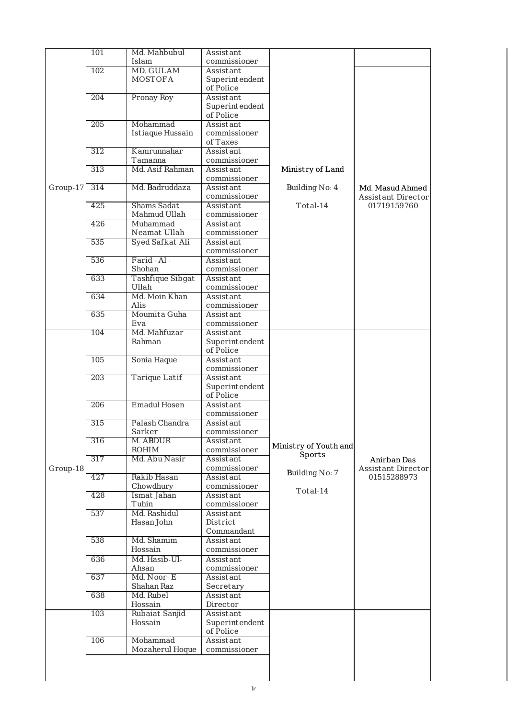|          | 101 | Md. Mahbubul                | Assistant                        |                       |                    |
|----------|-----|-----------------------------|----------------------------------|-----------------------|--------------------|
|          | 102 | Islam<br><b>MD. GULAM</b>   | commissioner                     |                       |                    |
|          |     | <b>MOSTOFA</b>              | Assistant<br>Superintendent      |                       |                    |
|          |     |                             | of Police                        |                       |                    |
|          | 204 | Pronay Roy                  | Assistant                        |                       |                    |
|          |     |                             | Superintendent<br>of Police      |                       |                    |
|          | 205 | Mohammad                    | Assistant                        |                       |                    |
|          |     | <b>Istiaque Hussain</b>     | commissioner                     |                       |                    |
|          | 312 | Kamrunnahar                 | of Taxes<br>Assistant            |                       |                    |
|          |     | Tamanna                     | commissioner                     |                       |                    |
|          | 313 | Md. Asif Rahman             | Assistant                        | Ministry of Land      |                    |
| Group-17 | 314 | Md. Badruddaza              | commissioner<br>Assistant        | Building No: 4        | Md. Masud Ahmed    |
|          |     |                             | commissioner                     |                       | Assistant Director |
|          | 425 | <b>Shams Sadat</b>          | Assistant                        | Total-14              | 01719159760        |
|          | 426 | Mahmud Ullah<br>Muhammad    | commissioner<br>Assistant        |                       |                    |
|          |     | Neamat Ullah                | commissioner                     |                       |                    |
|          | 535 | Syed Safkat Ali             | Assistant                        |                       |                    |
|          | 536 | Farid - Al -                | commissioner<br>Assistant        |                       |                    |
|          |     | Shohan                      | commissioner                     |                       |                    |
|          | 633 | Tashfique Sibgat            | Assistant                        |                       |                    |
|          |     | Ullah                       | commissioner                     |                       |                    |
|          | 634 | Md. Moin Khan<br>Alis       | Assistant<br>commissioner        |                       |                    |
|          | 635 | Moumita Guha                | Assistant                        |                       |                    |
|          |     | Eva                         | commissioner                     |                       |                    |
|          | 104 | Md. Mahfuzar<br>Rahman      | Assistant<br>Superintendent      |                       |                    |
|          |     |                             | of Police                        |                       |                    |
|          | 105 | Sonia Haque                 | Assistant                        |                       |                    |
|          | 203 | Tarique Latif               | commissioner<br>Assistant        |                       |                    |
|          |     |                             | Superintendent                   |                       |                    |
|          |     |                             | of Police                        |                       |                    |
|          | 206 | <b>Emadul Hosen</b>         | <b>Assistant</b><br>commissioner |                       |                    |
|          | 315 | Palash Chandra              | Assistant                        |                       |                    |
|          |     | Sarker                      | commissioner                     |                       |                    |
|          | 316 | M. ABDUR<br><b>ROHIM</b>    | Assistant<br>commissioner        | Ministry of Youth and |                    |
|          | 317 | Md. Abu Nasir               | Assistant                        | Sports                | Anirban Das        |
| Group-18 |     |                             | commissioner                     | Building No: 7        | Assistant Director |
|          | 427 | Rakib Hasan<br>Chowdhury    | Assistant<br>commissioner        |                       | 01515288973        |
|          | 428 | Ismat Jahan                 | Assistant                        | Total-14              |                    |
|          |     | Tuhin                       | commissioner                     |                       |                    |
|          | 537 | Md. Rashidul<br>Hasan John  | Assistant<br>District            |                       |                    |
|          |     |                             | Commandant                       |                       |                    |
|          | 538 | Md. Shamim                  | Assistant                        |                       |                    |
|          | 636 | Hossain<br>Md. Hasib-Ul-    | commissioner<br>Assistant        |                       |                    |
|          |     | Ahsan                       | commissioner                     |                       |                    |
|          | 637 | Md. Noor-E-                 | Assistant                        |                       |                    |
|          | 638 | Shahan Raz<br>Md. Rubel     | Secretary                        |                       |                    |
|          |     | Hossain                     | Assistant<br>Director            |                       |                    |
|          | 103 | Rubaiat Sanjid              | Assistant                        |                       |                    |
|          |     | Hossain                     | Superintendent                   |                       |                    |
|          |     |                             | of Police<br>Assistant           |                       |                    |
|          |     |                             |                                  |                       |                    |
|          | 106 | Mohammad<br>Mozaherul Hoque | commissioner                     |                       |                    |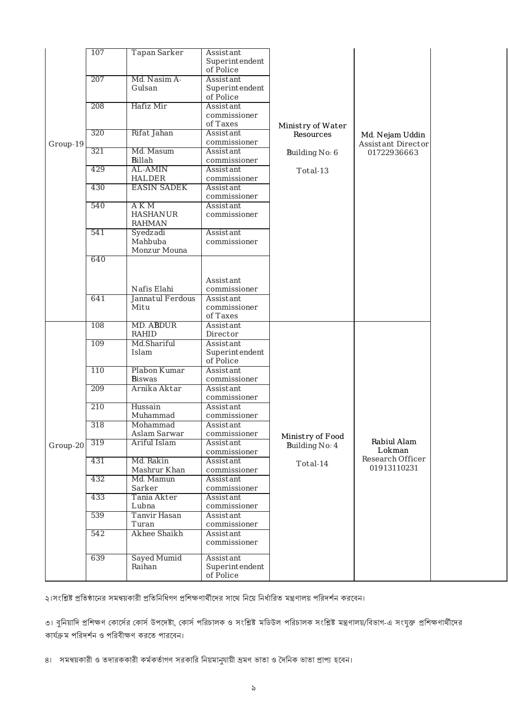|          | 107 | <b>Tapan Sarker</b>                       | Assistant<br>Superintendent<br>of Police  |                                    |                                              |
|----------|-----|-------------------------------------------|-------------------------------------------|------------------------------------|----------------------------------------------|
|          | 207 | Md. Nasim A-<br>Gulsan                    | Assistant<br>Superintendent<br>of Police  |                                    |                                              |
|          | 208 | Hafiz Mir                                 | Assistant<br>commissioner<br>of Taxes     | Ministry of Water                  |                                              |
| Group-19 | 320 | Rifat Jahan                               | Assistant<br>commissioner                 | Resources                          | Md. Nejam Uddin<br><b>Assistant Director</b> |
|          | 321 | Md. Masum<br><b>Billah</b>                | Assistant<br>commissioner                 | Building No: 6                     | 01722936663                                  |
|          | 429 | <b>AL-AMIN</b><br><b>HALDER</b>           | Assistant<br>commissioner                 | Total-13                           |                                              |
|          | 430 | <b>EASIN SADEK</b>                        | Assistant<br>commissioner                 |                                    |                                              |
|          | 540 | A K M<br><b>HASHANUR</b><br><b>RAHMAN</b> | Assistant<br>commissioner                 |                                    |                                              |
|          | 541 | Syedzadi<br>Mahbuba<br>Monzur Mouna       | Assistant<br>commissioner                 |                                    |                                              |
|          | 640 |                                           |                                           |                                    |                                              |
|          |     | Nafis Elahi                               | Assistant<br>commissioner                 |                                    |                                              |
|          | 641 | Jannatul Ferdous<br>Mitu                  | Assistant<br>commissioner<br>of Taxes     |                                    |                                              |
|          | 108 | <b>MD. ABDUR</b><br>RAHID                 | Assistant<br>Director                     |                                    |                                              |
|          | 109 | Md.Shariful<br>Islam                      | Assistant<br>Superintendent<br>of Police  |                                    |                                              |
|          | 110 | Plabon Kumar<br><b>Biswas</b>             | Assistant<br>commissioner                 |                                    |                                              |
|          | 209 | Arnika Aktar                              | Assistant<br>commissioner                 |                                    |                                              |
|          | 210 | Hussain<br>Muhammad                       | Assistant<br>commissioner                 |                                    |                                              |
|          | 318 | Mohammad<br>Aslam Sarwar                  | Assistant<br>commissioner                 |                                    |                                              |
| Group-20 | 319 | Ariful Islam                              | Assistant<br>commissioner                 | Ministry of Food<br>Building No: 4 | Rabiul Alam<br>Lokman                        |
|          | 431 | Md. Rakin                                 | Assistant                                 | $Total-14$                         | Research Officer<br>01913110231              |
|          | 432 | Mashrur Khan<br>Md. Mamun                 | commissioner<br>Assistant                 |                                    |                                              |
|          | 433 | Sarker<br>Tania Akter<br>Lubna            | commissioner<br>Assistant<br>commissioner |                                    |                                              |
|          | 539 | <b>Tanvir Hasan</b><br>Turan              | Assistant<br>commissioner                 |                                    |                                              |
|          | 542 | <b>Akhee Shaikh</b>                       | Assistant<br>commissioner                 |                                    |                                              |
|          | 639 | <b>Sayed Mumid</b><br>Raihan              | Assistant<br>Superintendent<br>of Police  |                                    |                                              |

২।সংশ্লিষ্ট প্রতিষ্ঠানের সমন্বয়কারী প্রতিনিধিগণ প্রশিক্ষণার্থীদের সাথে নিয়ে নির্ধারিত মন্ত্রণালয় পরিদর্শন করবেন।

৩। বুনিয়াদি প্রশিক্ষণ কোর্সের কোর্স উপদেষ্টা, কোর্স পরিচালক পণ্ডিটল পরিচালক সংশ্লিষ্ট মন্ত্রণালয়/বিভাগ-এ সংযুক্ত প্রশিক্ষণার্থীদের কার্যক্রম পরিদর্শন ও পরিবীক্ষণ করতে পারবেন।

৪। সমন্বয়কারী ও তদারককারী কর্মকর্তাগণ সরকারি নিয়মানুযায়ী ভ্রমণ ভাতা ও দৈনিক ভাতা প্রাপ্য হবেন।